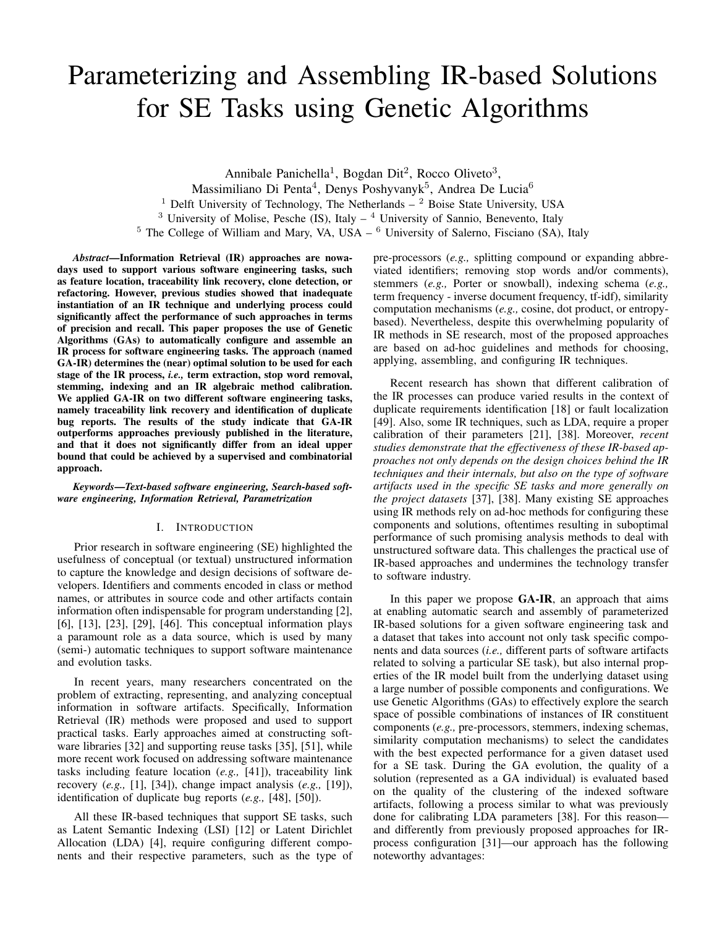# Parameterizing and Assembling IR-based Solutions for SE Tasks using Genetic Algorithms

Annibale Panichella<sup>1</sup>, Bogdan Dit<sup>2</sup>, Rocco Oliveto<sup>3</sup>, Massimiliano Di Penta<sup>4</sup>, Denys Poshyvanyk<sup>5</sup>, Andrea De Lucia<sup>6</sup> <sup>1</sup> Delft University of Technology, The Netherlands  $-$  <sup>2</sup> Boise State University, USA  $3$  University of Molise, Pesche (IS), Italy  $4$  University of Sannio, Benevento, Italy  $5$  The College of William and Mary, VA, USA –  $6$  University of Salerno, Fisciano (SA), Italy

*Abstract*—Information Retrieval (IR) approaches are nowadays used to support various software engineering tasks, such as feature location, traceability link recovery, clone detection, or refactoring. However, previous studies showed that inadequate instantiation of an IR technique and underlying process could significantly affect the performance of such approaches in terms of precision and recall. This paper proposes the use of Genetic Algorithms (GAs) to automatically configure and assemble an IR process for software engineering tasks. The approach (named GA-IR) determines the (near) optimal solution to be used for each stage of the IR process, *i.e.,* term extraction, stop word removal, stemming, indexing and an IR algebraic method calibration. We applied GA-IR on two different software engineering tasks, namely traceability link recovery and identification of duplicate bug reports. The results of the study indicate that GA-IR outperforms approaches previously published in the literature, and that it does not significantly differ from an ideal upper bound that could be achieved by a supervised and combinatorial approach.

*Keywords*—*Text-based software engineering, Search-based software engineering, Information Retrieval, Parametrization*

# I. INTRODUCTION

Prior research in software engineering (SE) highlighted the usefulness of conceptual (or textual) unstructured information to capture the knowledge and design decisions of software developers. Identifiers and comments encoded in class or method names, or attributes in source code and other artifacts contain information often indispensable for program understanding [2], [6], [13], [23], [29], [46]. This conceptual information plays a paramount role as a data source, which is used by many (semi-) automatic techniques to support software maintenance and evolution tasks.

In recent years, many researchers concentrated on the problem of extracting, representing, and analyzing conceptual information in software artifacts. Specifically, Information Retrieval (IR) methods were proposed and used to support practical tasks. Early approaches aimed at constructing software libraries [32] and supporting reuse tasks [35], [51], while more recent work focused on addressing software maintenance tasks including feature location (*e.g.,* [41]), traceability link recovery (*e.g.,* [1], [34]), change impact analysis (*e.g.,* [19]), identification of duplicate bug reports (*e.g.,* [48], [50]).

All these IR-based techniques that support SE tasks, such as Latent Semantic Indexing (LSI) [12] or Latent Dirichlet Allocation (LDA) [4], require configuring different components and their respective parameters, such as the type of pre-processors (*e.g.,* splitting compound or expanding abbreviated identifiers; removing stop words and/or comments), stemmers (*e.g.,* Porter or snowball), indexing schema (*e.g.,* term frequency - inverse document frequency, tf-idf), similarity computation mechanisms (*e.g.,* cosine, dot product, or entropybased). Nevertheless, despite this overwhelming popularity of IR methods in SE research, most of the proposed approaches are based on ad-hoc guidelines and methods for choosing, applying, assembling, and configuring IR techniques.

Recent research has shown that different calibration of the IR processes can produce varied results in the context of duplicate requirements identification [18] or fault localization [49]. Also, some IR techniques, such as LDA, require a proper calibration of their parameters [21], [38]. Moreover, *recent studies demonstrate that the effectiveness of these IR-based approaches not only depends on the design choices behind the IR techniques and their internals, but also on the type of software artifacts used in the specific SE tasks and more generally on the project datasets* [37], [38]. Many existing SE approaches using IR methods rely on ad-hoc methods for configuring these components and solutions, oftentimes resulting in suboptimal performance of such promising analysis methods to deal with unstructured software data. This challenges the practical use of IR-based approaches and undermines the technology transfer to software industry.

In this paper we propose GA-IR, an approach that aims at enabling automatic search and assembly of parameterized IR-based solutions for a given software engineering task and a dataset that takes into account not only task specific components and data sources (*i.e.,* different parts of software artifacts related to solving a particular SE task), but also internal properties of the IR model built from the underlying dataset using a large number of possible components and configurations. We use Genetic Algorithms (GAs) to effectively explore the search space of possible combinations of instances of IR constituent components (*e.g.,* pre-processors, stemmers, indexing schemas, similarity computation mechanisms) to select the candidates with the best expected performance for a given dataset used for a SE task. During the GA evolution, the quality of a solution (represented as a GA individual) is evaluated based on the quality of the clustering of the indexed software artifacts, following a process similar to what was previously done for calibrating LDA parameters [38]. For this reason and differently from previously proposed approaches for IRprocess configuration [31]—our approach has the following noteworthy advantages: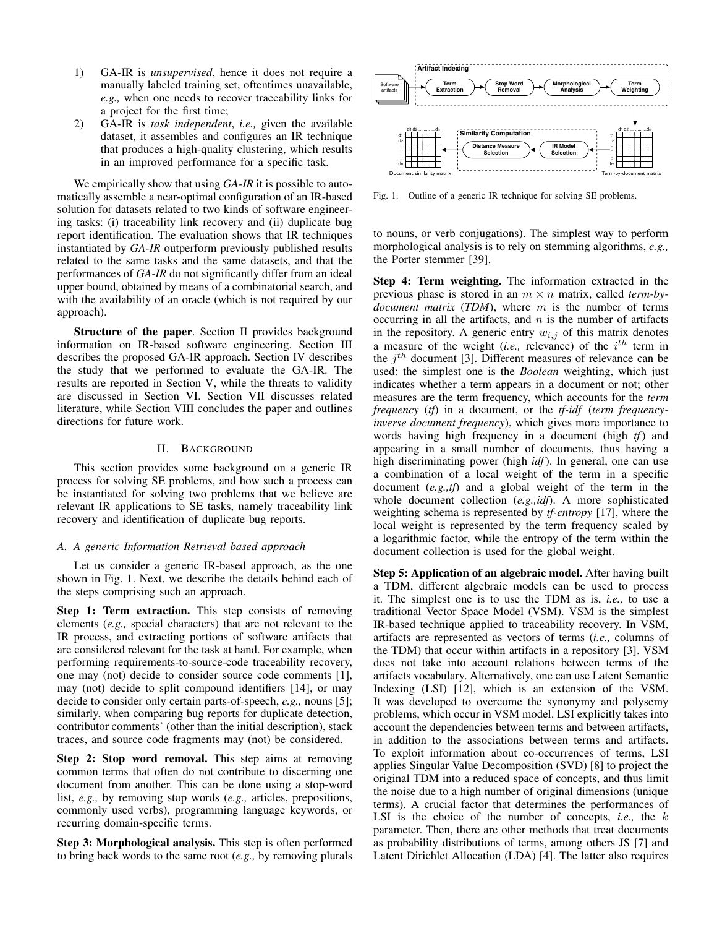- 1) GA-IR is *unsupervised*, hence it does not require a manually labeled training set, oftentimes unavailable, *e.g.,* when one needs to recover traceability links for a project for the first time;
- 2) GA-IR is *task independent*, *i.e.,* given the available dataset, it assembles and configures an IR technique that produces a high-quality clustering, which results in an improved performance for a specific task.

We empirically show that using *GA-IR* it is possible to automatically assemble a near-optimal configuration of an IR-based solution for datasets related to two kinds of software engineering tasks: (i) traceability link recovery and (ii) duplicate bug report identification. The evaluation shows that IR techniques instantiated by *GA-IR* outperform previously published results related to the same tasks and the same datasets, and that the performances of *GA-IR* do not significantly differ from an ideal upper bound, obtained by means of a combinatorial search, and with the availability of an oracle (which is not required by our approach).

Structure of the paper. Section II provides background information on IR-based software engineering. Section III describes the proposed GA-IR approach. Section IV describes the study that we performed to evaluate the GA-IR. The results are reported in Section V, while the threats to validity are discussed in Section VI. Section VII discusses related literature, while Section VIII concludes the paper and outlines directions for future work.

## II. BACKGROUND

This section provides some background on a generic IR process for solving SE problems, and how such a process can be instantiated for solving two problems that we believe are relevant IR applications to SE tasks, namely traceability link recovery and identification of duplicate bug reports.

# *A. A generic Information Retrieval based approach*

Let us consider a generic IR-based approach, as the one shown in Fig. 1. Next, we describe the details behind each of the steps comprising such an approach.

Step 1: Term extraction. This step consists of removing elements (*e.g.,* special characters) that are not relevant to the IR process, and extracting portions of software artifacts that are considered relevant for the task at hand. For example, when performing requirements-to-source-code traceability recovery, one may (not) decide to consider source code comments [1], may (not) decide to split compound identifiers [14], or may decide to consider only certain parts-of-speech, *e.g.,* nouns [5]; similarly, when comparing bug reports for duplicate detection, contributor comments' (other than the initial description), stack traces, and source code fragments may (not) be considered.

Step 2: Stop word removal. This step aims at removing common terms that often do not contribute to discerning one document from another. This can be done using a stop-word list, *e.g.,* by removing stop words (*e.g.,* articles, prepositions, commonly used verbs), programming language keywords, or recurring domain-specific terms.

Step 3: Morphological analysis. This step is often performed to bring back words to the same root (*e.g.,* by removing plurals



Fig. 1. Outline of a generic IR technique for solving SE problems.

to nouns, or verb conjugations). The simplest way to perform morphological analysis is to rely on stemming algorithms, *e.g.,* the Porter stemmer [39].

Step 4: Term weighting. The information extracted in the previous phase is stored in an  $m \times n$  matrix, called *term-bydocument matrix* (*TDM*), where m is the number of terms occurring in all the artifacts, and  $n$  is the number of artifacts in the repository. A generic entry  $w_{i,j}$  of this matrix denotes a measure of the weight (*i.e.*, relevance) of the  $i<sup>th</sup>$  term in the  $j<sup>th</sup>$  document [3]. Different measures of relevance can be used: the simplest one is the *Boolean* weighting, which just indicates whether a term appears in a document or not; other measures are the term frequency, which accounts for the *term frequency* (*tf*) in a document, or the *tf-idf* (*term frequencyinverse document frequency*), which gives more importance to words having high frequency in a document (high *tf*) and appearing in a small number of documents, thus having a high discriminating power (high *idf*). In general, one can use a combination of a local weight of the term in a specific document (*e.g.,tf*) and a global weight of the term in the whole document collection (*e.g.,idf*). A more sophisticated weighting schema is represented by *tf-entropy* [17], where the local weight is represented by the term frequency scaled by a logarithmic factor, while the entropy of the term within the document collection is used for the global weight.

Step 5: Application of an algebraic model. After having built a TDM, different algebraic models can be used to process it. The simplest one is to use the TDM as is, *i.e.,* to use a traditional Vector Space Model (VSM). VSM is the simplest IR-based technique applied to traceability recovery. In VSM, artifacts are represented as vectors of terms (*i.e.,* columns of the TDM) that occur within artifacts in a repository [3]. VSM does not take into account relations between terms of the artifacts vocabulary. Alternatively, one can use Latent Semantic Indexing (LSI) [12], which is an extension of the VSM. It was developed to overcome the synonymy and polysemy problems, which occur in VSM model. LSI explicitly takes into account the dependencies between terms and between artifacts, in addition to the associations between terms and artifacts. To exploit information about co-occurrences of terms, LSI applies Singular Value Decomposition (SVD) [8] to project the original TDM into a reduced space of concepts, and thus limit the noise due to a high number of original dimensions (unique terms). A crucial factor that determines the performances of LSI is the choice of the number of concepts, *i.e.,* the k parameter. Then, there are other methods that treat documents as probability distributions of terms, among others JS [7] and Latent Dirichlet Allocation (LDA) [4]. The latter also requires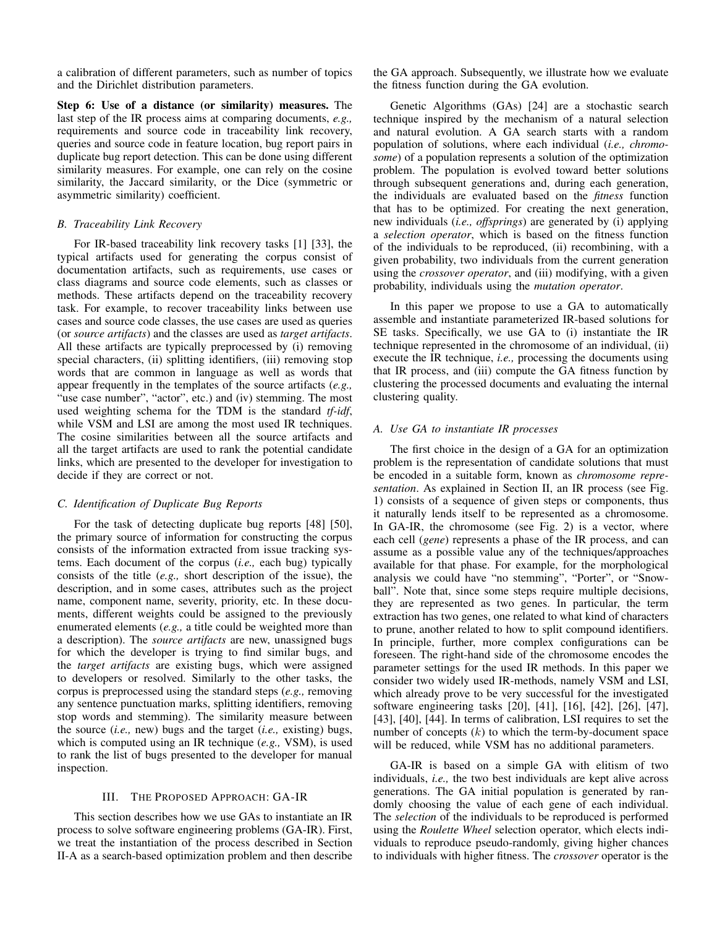a calibration of different parameters, such as number of topics and the Dirichlet distribution parameters.

Step 6: Use of a distance (or similarity) measures. The last step of the IR process aims at comparing documents, *e.g.,* requirements and source code in traceability link recovery, queries and source code in feature location, bug report pairs in duplicate bug report detection. This can be done using different similarity measures. For example, one can rely on the cosine similarity, the Jaccard similarity, or the Dice (symmetric or asymmetric similarity) coefficient.

# *B. Traceability Link Recovery*

For IR-based traceability link recovery tasks [1] [33], the typical artifacts used for generating the corpus consist of documentation artifacts, such as requirements, use cases or class diagrams and source code elements, such as classes or methods. These artifacts depend on the traceability recovery task. For example, to recover traceability links between use cases and source code classes, the use cases are used as queries (or *source artifacts*) and the classes are used as *target artifacts*. All these artifacts are typically preprocessed by (i) removing special characters, (ii) splitting identifiers, (iii) removing stop words that are common in language as well as words that appear frequently in the templates of the source artifacts (*e.g.,* "use case number", "actor", etc.) and (iv) stemming. The most used weighting schema for the TDM is the standard *tf-idf*, while VSM and LSI are among the most used IR techniques. The cosine similarities between all the source artifacts and all the target artifacts are used to rank the potential candidate links, which are presented to the developer for investigation to decide if they are correct or not.

# *C. Identification of Duplicate Bug Reports*

For the task of detecting duplicate bug reports [48] [50], the primary source of information for constructing the corpus consists of the information extracted from issue tracking systems. Each document of the corpus (*i.e.,* each bug) typically consists of the title (*e.g.,* short description of the issue), the description, and in some cases, attributes such as the project name, component name, severity, priority, etc. In these documents, different weights could be assigned to the previously enumerated elements (*e.g.,* a title could be weighted more than a description). The *source artifacts* are new, unassigned bugs for which the developer is trying to find similar bugs, and the *target artifacts* are existing bugs, which were assigned to developers or resolved. Similarly to the other tasks, the corpus is preprocessed using the standard steps (*e.g.,* removing any sentence punctuation marks, splitting identifiers, removing stop words and stemming). The similarity measure between the source (*i.e.,* new) bugs and the target (*i.e.,* existing) bugs, which is computed using an IR technique (*e.g.,* VSM), is used to rank the list of bugs presented to the developer for manual inspection.

## III. THE PROPOSED APPROACH: GA-IR

This section describes how we use GAs to instantiate an IR process to solve software engineering problems (GA-IR). First, we treat the instantiation of the process described in Section II-A as a search-based optimization problem and then describe the GA approach. Subsequently, we illustrate how we evaluate the fitness function during the GA evolution.

Genetic Algorithms (GAs) [24] are a stochastic search technique inspired by the mechanism of a natural selection and natural evolution. A GA search starts with a random population of solutions, where each individual (*i.e., chromosome*) of a population represents a solution of the optimization problem. The population is evolved toward better solutions through subsequent generations and, during each generation, the individuals are evaluated based on the *fitness* function that has to be optimized. For creating the next generation, new individuals (*i.e., offsprings*) are generated by (i) applying a *selection operator*, which is based on the fitness function of the individuals to be reproduced, (ii) recombining, with a given probability, two individuals from the current generation using the *crossover operator*, and (iii) modifying, with a given probability, individuals using the *mutation operator*.

In this paper we propose to use a GA to automatically assemble and instantiate parameterized IR-based solutions for SE tasks. Specifically, we use GA to (i) instantiate the IR technique represented in the chromosome of an individual, (ii) execute the IR technique, *i.e.,* processing the documents using that IR process, and (iii) compute the GA fitness function by clustering the processed documents and evaluating the internal clustering quality.

## *A. Use GA to instantiate IR processes*

The first choice in the design of a GA for an optimization problem is the representation of candidate solutions that must be encoded in a suitable form, known as *chromosome representation*. As explained in Section II, an IR process (see Fig. 1) consists of a sequence of given steps or components, thus it naturally lends itself to be represented as a chromosome. In GA-IR, the chromosome (see Fig. 2) is a vector, where each cell (*gene*) represents a phase of the IR process, and can assume as a possible value any of the techniques/approaches available for that phase. For example, for the morphological analysis we could have "no stemming", "Porter", or "Snowball". Note that, since some steps require multiple decisions, they are represented as two genes. In particular, the term extraction has two genes, one related to what kind of characters to prune, another related to how to split compound identifiers. In principle, further, more complex configurations can be foreseen. The right-hand side of the chromosome encodes the parameter settings for the used IR methods. In this paper we consider two widely used IR-methods, namely VSM and LSI, which already prove to be very successful for the investigated software engineering tasks [20], [41], [16], [42], [26], [47], [43], [40], [44]. In terms of calibration, LSI requires to set the number of concepts  $(k)$  to which the term-by-document space will be reduced, while VSM has no additional parameters.

GA-IR is based on a simple GA with elitism of two individuals, *i.e.,* the two best individuals are kept alive across generations. The GA initial population is generated by randomly choosing the value of each gene of each individual. The *selection* of the individuals to be reproduced is performed using the *Roulette Wheel* selection operator, which elects individuals to reproduce pseudo-randomly, giving higher chances to individuals with higher fitness. The *crossover* operator is the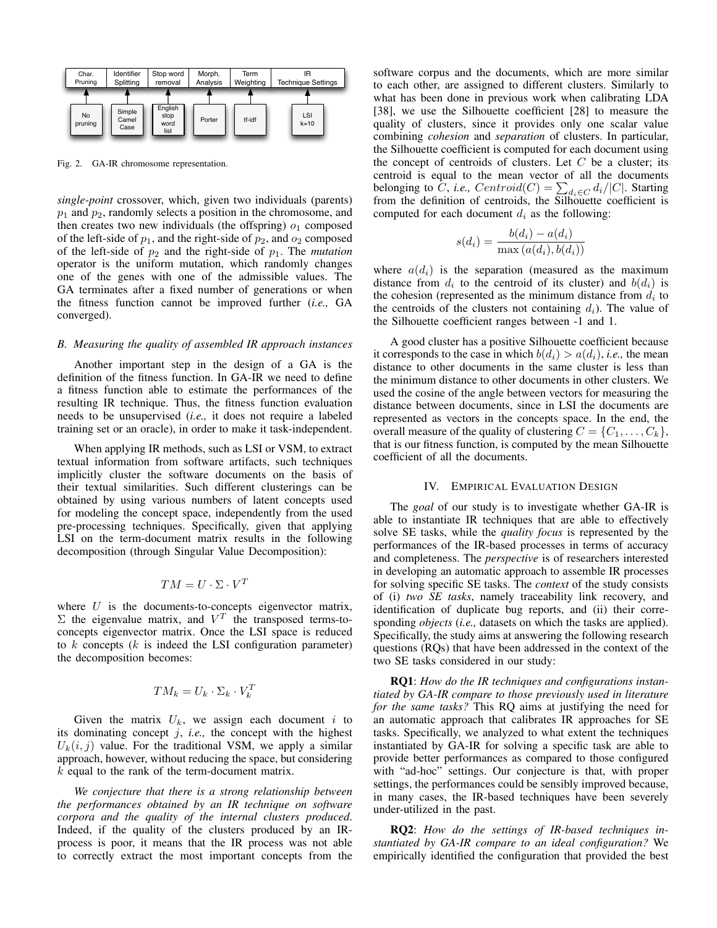

Fig. 2. GA-IR chromosome representation.

*single-point* crossover, which, given two individuals (parents)  $p_1$  and  $p_2$ , randomly selects a position in the chromosome, and then creates two new individuals (the offspring)  $o_1$  composed of the left-side of  $p_1$ , and the right-side of  $p_2$ , and  $o_2$  composed of the left-side of  $p_2$  and the right-side of  $p_1$ . The *mutation* operator is the uniform mutation, which randomly changes one of the genes with one of the admissible values. The GA terminates after a fixed number of generations or when the fitness function cannot be improved further (*i.e.,* GA converged).

## *B. Measuring the quality of assembled IR approach instances*

Another important step in the design of a GA is the definition of the fitness function. In GA-IR we need to define a fitness function able to estimate the performances of the resulting IR technique. Thus, the fitness function evaluation needs to be unsupervised (*i.e.,* it does not require a labeled training set or an oracle), in order to make it task-independent.

When applying IR methods, such as LSI or VSM, to extract textual information from software artifacts, such techniques implicitly cluster the software documents on the basis of their textual similarities. Such different clusterings can be obtained by using various numbers of latent concepts used for modeling the concept space, independently from the used pre-processing techniques. Specifically, given that applying LSI on the term-document matrix results in the following decomposition (through Singular Value Decomposition):

$$
TM = U \cdot \Sigma \cdot V^T
$$

where  $U$  is the documents-to-concepts eigenvector matrix,  $\Sigma$  the eigenvalue matrix, and  $V^T$  the transposed terms-toconcepts eigenvector matrix. Once the LSI space is reduced to  $k$  concepts  $(k$  is indeed the LSI configuration parameter) the decomposition becomes:

$$
TM_k = U_k \cdot \Sigma_k \cdot V_k^T
$$

Given the matrix  $U_k$ , we assign each document i to its dominating concept j, *i.e.,* the concept with the highest  $U_k(i, j)$  value. For the traditional VSM, we apply a similar approach, however, without reducing the space, but considering  $k$  equal to the rank of the term-document matrix.

*We conjecture that there is a strong relationship between the performances obtained by an IR technique on software corpora and the quality of the internal clusters produced*. Indeed, if the quality of the clusters produced by an IRprocess is poor, it means that the IR process was not able to correctly extract the most important concepts from the software corpus and the documents, which are more similar to each other, are assigned to different clusters. Similarly to what has been done in previous work when calibrating LDA [38], we use the Silhouette coefficient [28] to measure the quality of clusters, since it provides only one scalar value combining *cohesion* and *separation* of clusters. In particular, the Silhouette coefficient is computed for each document using the concept of centroids of clusters. Let  $C$  be a cluster; its centroid is equal to the mean vector of all the documents belonging to *C*, *i.e.*,  $Centroid(C) = \sum_{i \in C} d_i / |C|$ . Starting from the definition of centroids, the Silhouette coefficient is computed for each document  $d_i$  as the following:

$$
s(d_i) = \frac{b(d_i) - a(d_i)}{\max(a(d_i), b(d_i))}
$$

where  $a(d_i)$  is the separation (measured as the maximum distance from  $d_i$  to the centroid of its cluster) and  $b(d_i)$  is the cohesion (represented as the minimum distance from  $d_i$  to the centroids of the clusters not containing  $d_i$ ). The value of the Silhouette coefficient ranges between -1 and 1.

A good cluster has a positive Silhouette coefficient because it corresponds to the case in which  $b(d_i) > a(d_i)$ , *i.e.*, the mean distance to other documents in the same cluster is less than the minimum distance to other documents in other clusters. We used the cosine of the angle between vectors for measuring the distance between documents, since in LSI the documents are represented as vectors in the concepts space. In the end, the overall measure of the quality of clustering  $C = \{C_1, \ldots, C_k\},\$ that is our fitness function, is computed by the mean Silhouette coefficient of all the documents.

# IV. EMPIRICAL EVALUATION DESIGN

The *goal* of our study is to investigate whether GA-IR is able to instantiate IR techniques that are able to effectively solve SE tasks, while the *quality focus* is represented by the performances of the IR-based processes in terms of accuracy and completeness. The *perspective* is of researchers interested in developing an automatic approach to assemble IR processes for solving specific SE tasks. The *context* of the study consists of (i) *two SE tasks*, namely traceability link recovery, and identification of duplicate bug reports, and (ii) their corresponding *objects* (*i.e.,* datasets on which the tasks are applied). Specifically, the study aims at answering the following research questions (RQs) that have been addressed in the context of the two SE tasks considered in our study:

RQ1: *How do the IR techniques and configurations instantiated by GA-IR compare to those previously used in literature for the same tasks?* This RQ aims at justifying the need for an automatic approach that calibrates IR approaches for SE tasks. Specifically, we analyzed to what extent the techniques instantiated by GA-IR for solving a specific task are able to provide better performances as compared to those configured with "ad-hoc" settings. Our conjecture is that, with proper settings, the performances could be sensibly improved because, in many cases, the IR-based techniques have been severely under-utilized in the past.

RQ2: *How do the settings of IR-based techniques instantiated by GA-IR compare to an ideal configuration?* We empirically identified the configuration that provided the best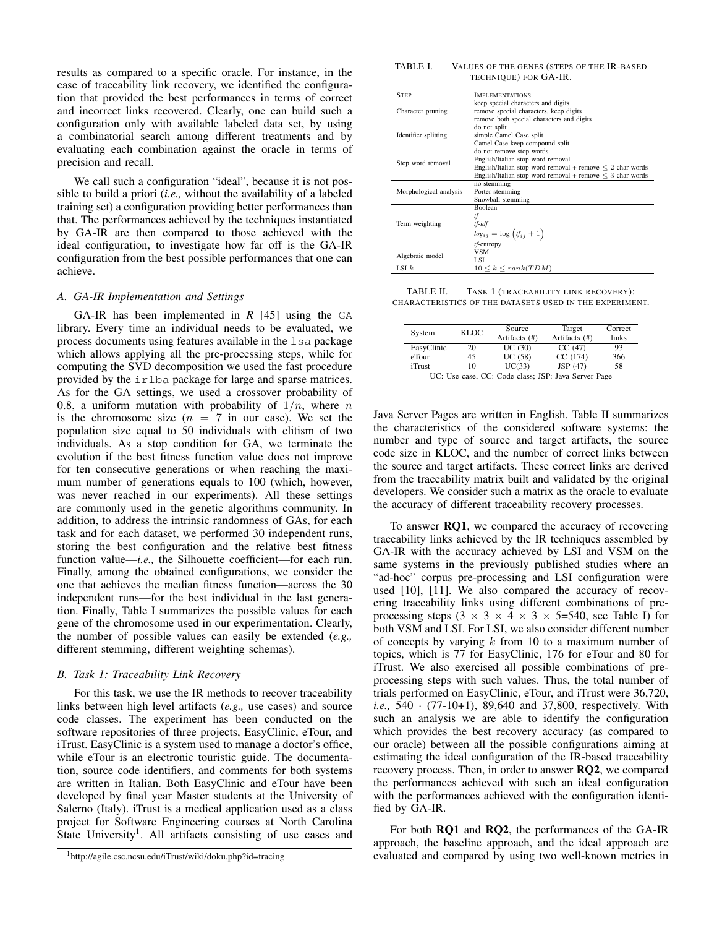results as compared to a specific oracle. For instance, in the case of traceability link recovery, we identified the configuration that provided the best performances in terms of correct and incorrect links recovered. Clearly, one can build such a configuration only with available labeled data set, by using a combinatorial search among different treatments and by evaluating each combination against the oracle in terms of precision and recall.

We call such a configuration "ideal", because it is not possible to build a priori (*i.e.,* without the availability of a labeled training set) a configuration providing better performances than that. The performances achieved by the techniques instantiated by GA-IR are then compared to those achieved with the ideal configuration, to investigate how far off is the GA-IR configuration from the best possible performances that one can achieve.

## *A. GA-IR Implementation and Settings*

GA-IR has been implemented in  $R$  [45] using the GA library. Every time an individual needs to be evaluated, we process documents using features available in the lsa package which allows applying all the pre-processing steps, while for computing the SVD decomposition we used the fast procedure provided by the irlba package for large and sparse matrices. As for the GA settings, we used a crossover probability of 0.8, a uniform mutation with probability of  $1/n$ , where n is the chromosome size  $(n = 7$  in our case). We set the population size equal to 50 individuals with elitism of two individuals. As a stop condition for GA, we terminate the evolution if the best fitness function value does not improve for ten consecutive generations or when reaching the maximum number of generations equals to 100 (which, however, was never reached in our experiments). All these settings are commonly used in the genetic algorithms community. In addition, to address the intrinsic randomness of GAs, for each task and for each dataset, we performed 30 independent runs, storing the best configuration and the relative best fitness function value—*i.e.*, the Silhouette coefficient—for each run. Finally, among the obtained configurations, we consider the one that achieves the median fitness function—across the 30 independent runs—for the best individual in the last generation. Finally, Table I summarizes the possible values for each gene of the chromosome used in our experimentation. Clearly, the number of possible values can easily be extended (*e.g.,* different stemming, different weighting schemas).

# *B. Task 1: Traceability Link Recovery*

For this task, we use the IR methods to recover traceability links between high level artifacts (*e.g.,* use cases) and source code classes. The experiment has been conducted on the software repositories of three projects, EasyClinic, eTour, and iTrust. EasyClinic is a system used to manage a doctor's office, while eTour is an electronic touristic guide. The documentation, source code identifiers, and comments for both systems are written in Italian. Both EasyClinic and eTour have been developed by final year Master students at the University of Salerno (Italy). iTrust is a medical application used as a class project for Software Engineering courses at North Carolina State University<sup>1</sup>. All artifacts consisting of use cases and

#### TABLE I. VALUES OF THE GENES (STEPS OF THE IR-BASED TECHNIQUE) FOR GA-IR.

| <b>STEP</b>            | <b>IMPLEMENTATIONS</b>                                         |  |  |  |  |
|------------------------|----------------------------------------------------------------|--|--|--|--|
|                        | keep special characters and digits                             |  |  |  |  |
| Character pruning      | remove special characters, keep digits                         |  |  |  |  |
|                        | remove both special characters and digits                      |  |  |  |  |
|                        | do not split                                                   |  |  |  |  |
| Identifier splitting   | simple Camel Case split                                        |  |  |  |  |
|                        | Camel Case keep compound split                                 |  |  |  |  |
|                        | do not remove stop words                                       |  |  |  |  |
| Stop word removal      | English/Italian stop word removal                              |  |  |  |  |
|                        | English/Italian stop word removal + remove $\leq 2$ char words |  |  |  |  |
|                        | English/Italian stop word removal + remove $\leq$ 3 char words |  |  |  |  |
|                        | no stemming                                                    |  |  |  |  |
| Morphological analysis | Porter stemming                                                |  |  |  |  |
|                        | Snowball stemming                                              |  |  |  |  |
|                        | <b>Boolean</b>                                                 |  |  |  |  |
|                        | tf                                                             |  |  |  |  |
| Term weighting         | tf-idf                                                         |  |  |  |  |
|                        | $log_{ij} = log(f_{ij} + 1)$                                   |  |  |  |  |
|                        | tf-entropy                                                     |  |  |  |  |
|                        | <b>VSM</b>                                                     |  |  |  |  |
| Algebraic model        | LSI                                                            |  |  |  |  |
| LSI k                  | $10 \leq k \leq rank(TDM)$                                     |  |  |  |  |

TABLE II. TASK 1 (TRACEABILITY LINK RECOVERY): CHARACTERISTICS OF THE DATASETS USED IN THE EXPERIMENT.

| System                                              | <b>KLOC</b> | Source        | Target        | Correct |  |  |
|-----------------------------------------------------|-------------|---------------|---------------|---------|--|--|
|                                                     |             | Artifacts (#) | Artifacts (#) | links   |  |  |
| EasyClinic                                          | 20          | UC (30)       | CC(47)        | 93      |  |  |
| eTour                                               | 45          | UC(58)        | CC(174)       | 366     |  |  |
| <i>i</i> Trust                                      | 10          | UC(33)        | JSP(47)       | 58      |  |  |
| UC: Use case, CC: Code class; JSP: Java Server Page |             |               |               |         |  |  |

Java Server Pages are written in English. Table II summarizes the characteristics of the considered software systems: the number and type of source and target artifacts, the source code size in KLOC, and the number of correct links between the source and target artifacts. These correct links are derived from the traceability matrix built and validated by the original developers. We consider such a matrix as the oracle to evaluate the accuracy of different traceability recovery processes.

To answer RQ1, we compared the accuracy of recovering traceability links achieved by the IR techniques assembled by GA-IR with the accuracy achieved by LSI and VSM on the same systems in the previously published studies where an "ad-hoc" corpus pre-processing and LSI configuration were used [10], [11]. We also compared the accuracy of recovering traceability links using different combinations of preprocessing steps  $(3 \times 3 \times 4 \times 3 \times 5=540)$ , see Table I) for both VSM and LSI. For LSI, we also consider different number of concepts by varying  $k$  from 10 to a maximum number of topics, which is 77 for EasyClinic, 176 for eTour and 80 for iTrust. We also exercised all possible combinations of preprocessing steps with such values. Thus, the total number of trials performed on EasyClinic, eTour, and iTrust were 36,720, *i.e.,* 540 · (77-10+1), 89,640 and 37,800, respectively. With such an analysis we are able to identify the configuration which provides the best recovery accuracy (as compared to our oracle) between all the possible configurations aiming at estimating the ideal configuration of the IR-based traceability recovery process. Then, in order to answer RQ2, we compared the performances achieved with such an ideal configuration with the performances achieved with the configuration identified by GA-IR.

For both RQ1 and RQ2, the performances of the GA-IR approach, the baseline approach, and the ideal approach are evaluated and compared by using two well-known metrics in

<sup>1</sup>http://agile.csc.ncsu.edu/iTrust/wiki/doku.php?id=tracing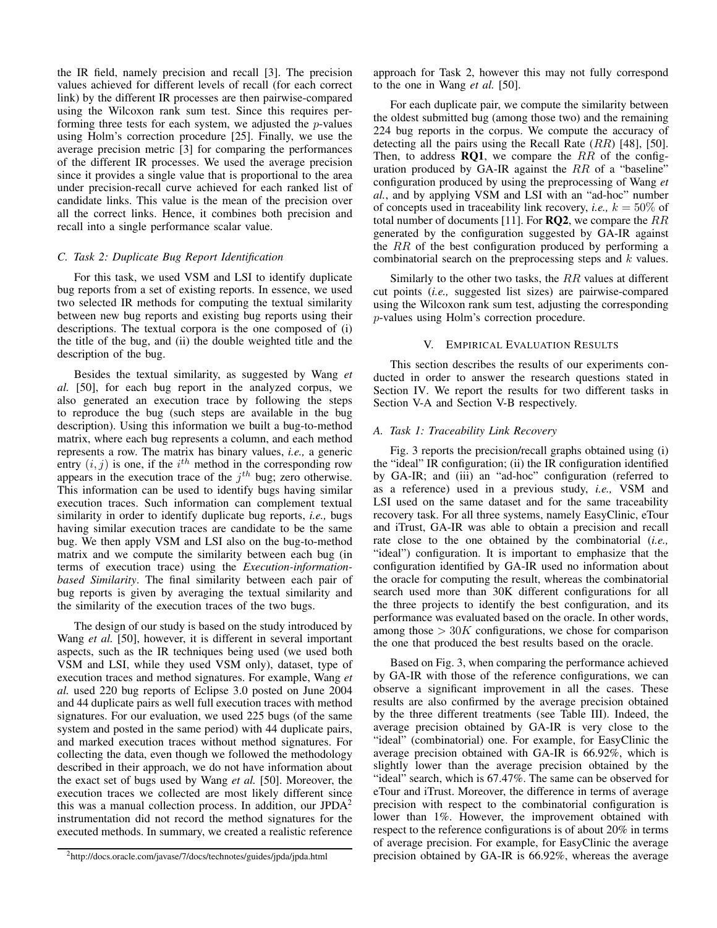the IR field, namely precision and recall [3]. The precision values achieved for different levels of recall (for each correct link) by the different IR processes are then pairwise-compared using the Wilcoxon rank sum test. Since this requires performing three tests for each system, we adjusted the p-values using Holm's correction procedure [25]. Finally, we use the average precision metric [3] for comparing the performances of the different IR processes. We used the average precision since it provides a single value that is proportional to the area under precision-recall curve achieved for each ranked list of candidate links. This value is the mean of the precision over all the correct links. Hence, it combines both precision and recall into a single performance scalar value.

# *C. Task 2: Duplicate Bug Report Identification*

For this task, we used VSM and LSI to identify duplicate bug reports from a set of existing reports. In essence, we used two selected IR methods for computing the textual similarity between new bug reports and existing bug reports using their descriptions. The textual corpora is the one composed of (i) the title of the bug, and (ii) the double weighted title and the description of the bug.

Besides the textual similarity, as suggested by Wang *et al.* [50], for each bug report in the analyzed corpus, we also generated an execution trace by following the steps to reproduce the bug (such steps are available in the bug description). Using this information we built a bug-to-method matrix, where each bug represents a column, and each method represents a row. The matrix has binary values, *i.e.,* a generic entry  $(i, j)$  is one, if the  $i<sup>th</sup>$  method in the corresponding row appears in the execution trace of the  $j<sup>th</sup>$  bug; zero otherwise. This information can be used to identify bugs having similar execution traces. Such information can complement textual similarity in order to identify duplicate bug reports, *i.e.,* bugs having similar execution traces are candidate to be the same bug. We then apply VSM and LSI also on the bug-to-method matrix and we compute the similarity between each bug (in terms of execution trace) using the *Execution-informationbased Similarity*. The final similarity between each pair of bug reports is given by averaging the textual similarity and the similarity of the execution traces of the two bugs.

The design of our study is based on the study introduced by Wang *et al.* [50], however, it is different in several important aspects, such as the IR techniques being used (we used both VSM and LSI, while they used VSM only), dataset, type of execution traces and method signatures. For example, Wang *et al.* used 220 bug reports of Eclipse 3.0 posted on June 2004 and 44 duplicate pairs as well full execution traces with method signatures. For our evaluation, we used 225 bugs (of the same system and posted in the same period) with 44 duplicate pairs, and marked execution traces without method signatures. For collecting the data, even though we followed the methodology described in their approach, we do not have information about the exact set of bugs used by Wang *et al.* [50]. Moreover, the execution traces we collected are most likely different since this was a manual collection process. In addition, our JPD $A<sup>2</sup>$ instrumentation did not record the method signatures for the executed methods. In summary, we created a realistic reference

approach for Task 2, however this may not fully correspond to the one in Wang *et al.* [50].

For each duplicate pair, we compute the similarity between the oldest submitted bug (among those two) and the remaining 224 bug reports in the corpus. We compute the accuracy of detecting all the pairs using the Recall Rate  $(RR)$  [48], [50]. Then, to address  $RQ1$ , we compare the RR of the configuration produced by GA-IR against the  $RR$  of a "baseline" configuration produced by using the preprocessing of Wang *et al.*, and by applying VSM and LSI with an "ad-hoc" number of concepts used in traceability link recovery, *i.e.*,  $k = 50\%$  of total number of documents [11]. For **RO2**, we compare the  $RR$ generated by the configuration suggested by GA-IR against the RR of the best configuration produced by performing a combinatorial search on the preprocessing steps and k values.

Similarly to the other two tasks, the RR values at different cut points (*i.e.,* suggested list sizes) are pairwise-compared using the Wilcoxon rank sum test, adjusting the corresponding p-values using Holm's correction procedure.

## V. EMPIRICAL EVALUATION RESULTS

This section describes the results of our experiments conducted in order to answer the research questions stated in Section IV. We report the results for two different tasks in Section V-A and Section V-B respectively.

# *A. Task 1: Traceability Link Recovery*

Fig. 3 reports the precision/recall graphs obtained using (i) the "ideal" IR configuration; (ii) the IR configuration identified by GA-IR; and (iii) an "ad-hoc" configuration (referred to as a reference) used in a previous study, *i.e.,* VSM and LSI used on the same dataset and for the same traceability recovery task. For all three systems, namely EasyClinic, eTour and iTrust, GA-IR was able to obtain a precision and recall rate close to the one obtained by the combinatorial (*i.e.,* "ideal") configuration. It is important to emphasize that the configuration identified by GA-IR used no information about the oracle for computing the result, whereas the combinatorial search used more than 30K different configurations for all the three projects to identify the best configuration, and its performance was evaluated based on the oracle. In other words, among those  $> 30K$  configurations, we chose for comparison the one that produced the best results based on the oracle.

Based on Fig. 3, when comparing the performance achieved by GA-IR with those of the reference configurations, we can observe a significant improvement in all the cases. These results are also confirmed by the average precision obtained by the three different treatments (see Table III). Indeed, the average precision obtained by GA-IR is very close to the "ideal" (combinatorial) one. For example, for EasyClinic the average precision obtained with GA-IR is 66.92%, which is slightly lower than the average precision obtained by the "ideal" search, which is 67.47%. The same can be observed for eTour and iTrust. Moreover, the difference in terms of average precision with respect to the combinatorial configuration is lower than 1%. However, the improvement obtained with respect to the reference configurations is of about 20% in terms of average precision. For example, for EasyClinic the average precision obtained by GA-IR is 66.92%, whereas the average

<sup>2</sup>http://docs.oracle.com/javase/7/docs/technotes/guides/jpda/jpda.html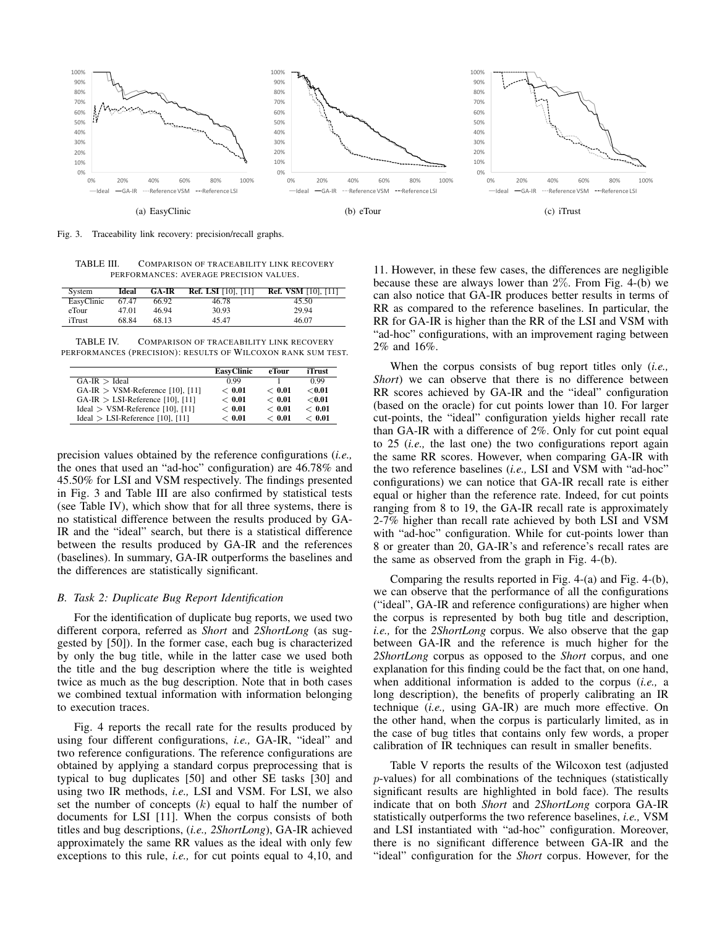

Fig. 3. Traceability link recovery: precision/recall graphs.

TABLE III. COMPARISON OF TRACEABILITY LINK RECOVERY PERFORMANCES: AVERAGE PRECISION VALUES.

| System     | Ideal | GA-IR | <b>Ref. LSI</b> [10], [11] | <b>Ref. VSM</b> [10], [11] |
|------------|-------|-------|----------------------------|----------------------------|
| EasyClinic | 67.47 | 66.92 | 46.78                      | 45.50                      |
| eTour      | 47.01 | 46.94 | 30.93                      | 29.94                      |
| iTrust     | 68.84 | 68.13 | 45.47                      | 46.07                      |

TABLE IV. COMPARISON OF TRACEABILITY LINK RECOVERY PERFORMANCES (PRECISION): RESULTS OF WILCOXON RANK SUM TEST.

|                                    | EasyClinic | eTour  | <b>iTrust</b> |
|------------------------------------|------------|--------|---------------|
| $GA-IR > Ideal$                    | 0.99       |        | 0.99          |
| $GA-IR > VSM-Reference$ [10], [11] | < 0.01     | < 0.01 | $<$ 0.01      |
| $GA-IR > LSI-Reference$ [10], [11] | < 0.01     | < 0.01 | $<$ 0.01      |
| Ideal $>$ VSM-Reference [10], [11] | < 0.01     | < 0.01 | < 0.01        |
| $Ideal > LSI-Reference$ [10], [11] | < 0.01     | < 0.01 | < 0.01        |

precision values obtained by the reference configurations (*i.e.,* the ones that used an "ad-hoc" configuration) are 46.78% and 45.50% for LSI and VSM respectively. The findings presented in Fig. 3 and Table III are also confirmed by statistical tests (see Table IV), which show that for all three systems, there is no statistical difference between the results produced by GA-IR and the "ideal" search, but there is a statistical difference between the results produced by GA-IR and the references (baselines). In summary, GA-IR outperforms the baselines and the differences are statistically significant.

## *B. Task 2: Duplicate Bug Report Identification*

For the identification of duplicate bug reports, we used two different corpora, referred as *Short* and *2ShortLong* (as suggested by [50]). In the former case, each bug is characterized by only the bug title, while in the latter case we used both the title and the bug description where the title is weighted twice as much as the bug description. Note that in both cases we combined textual information with information belonging to execution traces.

Fig. 4 reports the recall rate for the results produced by using four different configurations, *i.e.,* GA-IR, "ideal" and two reference configurations. The reference configurations are obtained by applying a standard corpus preprocessing that is typical to bug duplicates [50] and other SE tasks [30] and using two IR methods, *i.e.,* LSI and VSM. For LSI, we also set the number of concepts  $(k)$  equal to half the number of documents for LSI [11]. When the corpus consists of both titles and bug descriptions, (*i.e., 2ShortLong*), GA-IR achieved approximately the same RR values as the ideal with only few exceptions to this rule, *i.e.,* for cut points equal to 4,10, and 11. However, in these few cases, the differences are negligible because these are always lower than 2%. From Fig. 4-(b) we can also notice that GA-IR produces better results in terms of RR as compared to the reference baselines. In particular, the RR for GA-IR is higher than the RR of the LSI and VSM with "ad-hoc" configurations, with an improvement raging between 2% and 16%.

When the corpus consists of bug report titles only (*i.e., Short*) we can observe that there is no difference between RR scores achieved by GA-IR and the "ideal" configuration (based on the oracle) for cut points lower than 10. For larger cut-points, the "ideal" configuration yields higher recall rate than GA-IR with a difference of 2%. Only for cut point equal to 25 (*i.e.,* the last one) the two configurations report again the same RR scores. However, when comparing GA-IR with the two reference baselines (*i.e.,* LSI and VSM with "ad-hoc" configurations) we can notice that GA-IR recall rate is either equal or higher than the reference rate. Indeed, for cut points ranging from 8 to 19, the GA-IR recall rate is approximately 2-7% higher than recall rate achieved by both LSI and VSM with "ad-hoc" configuration. While for cut-points lower than 8 or greater than 20, GA-IR's and reference's recall rates are the same as observed from the graph in Fig. 4-(b).

Comparing the results reported in Fig. 4-(a) and Fig. 4-(b), we can observe that the performance of all the configurations ("ideal", GA-IR and reference configurations) are higher when the corpus is represented by both bug title and description, *i.e.,* for the *2ShortLong* corpus. We also observe that the gap between GA-IR and the reference is much higher for the *2ShortLong* corpus as opposed to the *Short* corpus, and one explanation for this finding could be the fact that, on one hand, when additional information is added to the corpus (*i.e.,* a long description), the benefits of properly calibrating an IR technique (*i.e.,* using GA-IR) are much more effective. On the other hand, when the corpus is particularly limited, as in the case of bug titles that contains only few words, a proper calibration of IR techniques can result in smaller benefits.

Table V reports the results of the Wilcoxon test (adjusted p-values) for all combinations of the techniques (statistically significant results are highlighted in bold face). The results indicate that on both *Short* and *2ShortLong* corpora GA-IR statistically outperforms the two reference baselines, *i.e.,* VSM and LSI instantiated with "ad-hoc" configuration. Moreover, there is no significant difference between GA-IR and the "ideal" configuration for the *Short* corpus. However, for the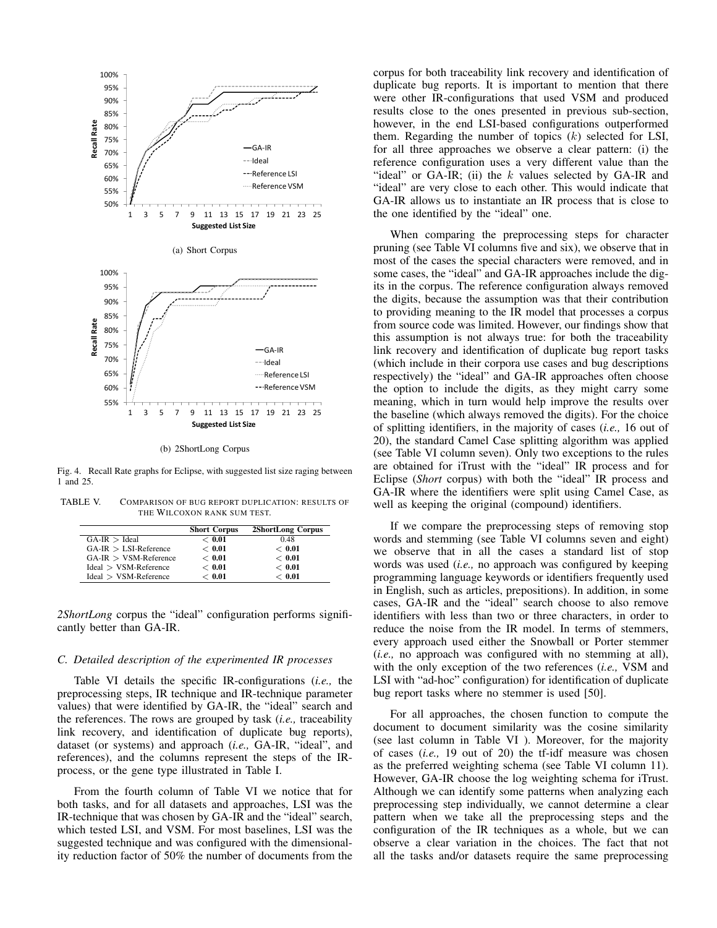

(b) 2ShortLong Corpus

Fig. 4. Recall Rate graphs for Eclipse, with suggested list size raging between 1 and 25.

TABLE V. COMPARISON OF BUG REPORT DUPLICATION: RESULTS OF THE WILCOXON RANK SUM TEST.

|                         | <b>Short Corpus</b> | <b>2ShortLong Corpus</b> |
|-------------------------|---------------------|--------------------------|
| $GA-IR > Ideal$         | < 0.01              | 0.48                     |
| $GA-IR > LSI-Reference$ | < 0.01              | < 0.01                   |
| $GA-IR > VSM-Reference$ | < 0.01              | < 0.01                   |
| $Ideal > VSM-Reference$ | < 0.01              | < 0.01                   |
| $Ideal > VSM-Reference$ | < 0.01              | < 0.01                   |

*2ShortLong* corpus the "ideal" configuration performs significantly better than GA-IR.

## *C. Detailed description of the experimented IR processes*

Table VI details the specific IR-configurations (*i.e.,* the preprocessing steps, IR technique and IR-technique parameter values) that were identified by GA-IR, the "ideal" search and the references. The rows are grouped by task (*i.e.,* traceability link recovery, and identification of duplicate bug reports), dataset (or systems) and approach (*i.e.,* GA-IR, "ideal", and references), and the columns represent the steps of the IRprocess, or the gene type illustrated in Table I.

From the fourth column of Table VI we notice that for both tasks, and for all datasets and approaches, LSI was the IR-technique that was chosen by GA-IR and the "ideal" search, which tested LSI, and VSM. For most baselines, LSI was the suggested technique and was configured with the dimensionality reduction factor of 50% the number of documents from the corpus for both traceability link recovery and identification of duplicate bug reports. It is important to mention that there were other IR-configurations that used VSM and produced results close to the ones presented in previous sub-section, however, in the end LSI-based configurations outperformed them. Regarding the number of topics  $(k)$  selected for LSI, for all three approaches we observe a clear pattern: (i) the reference configuration uses a very different value than the "ideal" or GA-IR; (ii) the  $k$  values selected by GA-IR and "ideal" are very close to each other. This would indicate that GA-IR allows us to instantiate an IR process that is close to the one identified by the "ideal" one.

When comparing the preprocessing steps for character pruning (see Table VI columns five and six), we observe that in most of the cases the special characters were removed, and in some cases, the "ideal" and GA-IR approaches include the digits in the corpus. The reference configuration always removed the digits, because the assumption was that their contribution to providing meaning to the IR model that processes a corpus from source code was limited. However, our findings show that this assumption is not always true: for both the traceability link recovery and identification of duplicate bug report tasks (which include in their corpora use cases and bug descriptions respectively) the "ideal" and GA-IR approaches often choose the option to include the digits, as they might carry some meaning, which in turn would help improve the results over the baseline (which always removed the digits). For the choice of splitting identifiers, in the majority of cases (*i.e.,* 16 out of 20), the standard Camel Case splitting algorithm was applied (see Table VI column seven). Only two exceptions to the rules are obtained for iTrust with the "ideal" IR process and for Eclipse (*Short* corpus) with both the "ideal" IR process and GA-IR where the identifiers were split using Camel Case, as well as keeping the original (compound) identifiers.

If we compare the preprocessing steps of removing stop words and stemming (see Table VI columns seven and eight) we observe that in all the cases a standard list of stop words was used (*i.e.,* no approach was configured by keeping programming language keywords or identifiers frequently used in English, such as articles, prepositions). In addition, in some cases, GA-IR and the "ideal" search choose to also remove identifiers with less than two or three characters, in order to reduce the noise from the IR model. In terms of stemmers, every approach used either the Snowball or Porter stemmer (*i.e.,* no approach was configured with no stemming at all), with the only exception of the two references (*i.e.,* VSM and LSI with "ad-hoc" configuration) for identification of duplicate bug report tasks where no stemmer is used [50].

For all approaches, the chosen function to compute the document to document similarity was the cosine similarity (see last column in Table VI ). Moreover, for the majority of cases (*i.e.,* 19 out of 20) the tf-idf measure was chosen as the preferred weighting schema (see Table VI column 11). However, GA-IR choose the log weighting schema for iTrust. Although we can identify some patterns when analyzing each preprocessing step individually, we cannot determine a clear pattern when we take all the preprocessing steps and the configuration of the IR techniques as a whole, but we can observe a clear variation in the choices. The fact that not all the tasks and/or datasets require the same preprocessing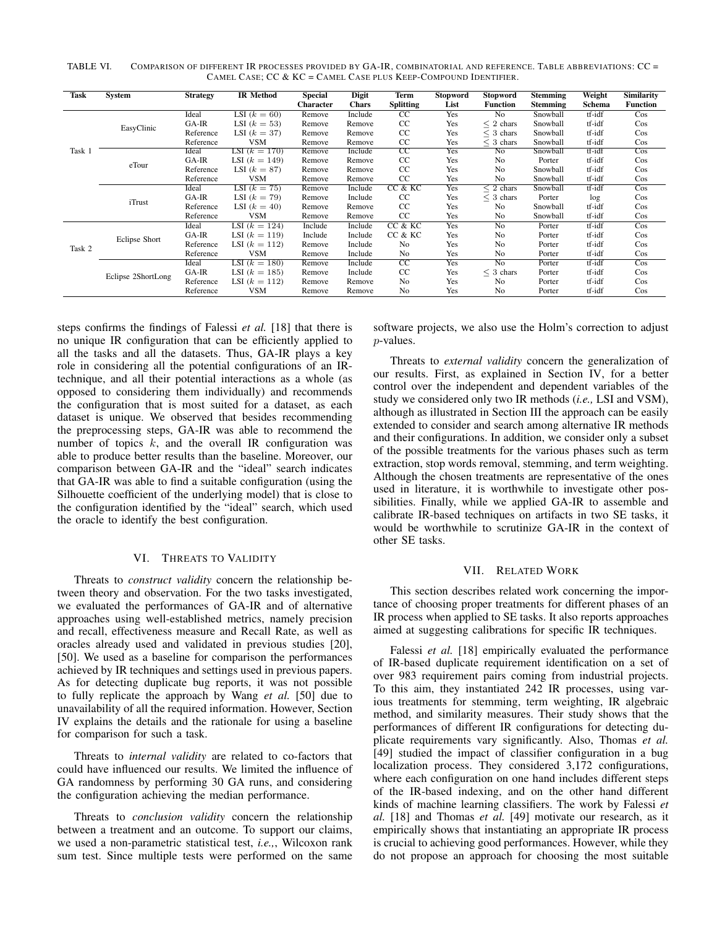TABLE VI. COMPARISON OF DIFFERENT IR PROCESSES PROVIDED BY GA-IR, COMBINATORIAL AND REFERENCE. TABLE ABBREVIATIONS: CC = CAMEL CASE; CC & KC = CAMEL CASE PLUS KEEP-COMPOUND IDENTIFIER.

| <b>Task</b> | <b>System</b>      | <b>Strategy</b> | <b>IR</b> Method      | <b>Special</b>   | <b>Digit</b> | <b>Term</b>      | <b>Stopword</b> | Stopword        | <b>Stemming</b> | Weight   | <b>Similarity</b> |
|-------------|--------------------|-----------------|-----------------------|------------------|--------------|------------------|-----------------|-----------------|-----------------|----------|-------------------|
|             |                    |                 |                       | <b>Character</b> | <b>Chars</b> | <b>Splitting</b> | List            | <b>Function</b> | <b>Stemming</b> | Schema   | <b>Function</b>   |
|             | EasyClinic         | Ideal           | LSI $(k=60)$          | Remove           | Include      | CC               | Yes             | No              | Snowball        | tf-idf   | $\cos$            |
|             |                    | GA-IR           | <b>LSI</b> $(k = 53)$ | Remove           | Remove       | CC               | Yes             | $\leq$ 2 chars  | Snowball        | tf-idf   | $\cos$            |
|             |                    | Reference       | LSI $(k = 37)$        | Remove           | Remove       | CC               | Yes             | $\leq$ 3 chars  | Snowball        | tf-idf   | $\cos$            |
|             |                    | Reference       | <b>VSM</b>            | Remove           | Remove       | CC               | Yes             | $\leq$ 3 chars  | Snowball        | tf-idf   | $\cos$            |
| Task 1      |                    | Ideal           | LSI $(k = 170)$       | Remove           | Include      | CC               | Yes             | N <sub>0</sub>  | Snowball        | tf-idf   | $\cos$            |
|             | eTour              | GA-IR           | LSI $(k = 149)$       | Remove           | Remove       | CC               | Yes             | No              | Porter          | tf-idf   | $\cos$            |
|             |                    | Reference       | LSI $(k = 87)$        | Remove           | Remove       | CC               | Yes             | N <sub>0</sub>  | Snowball        | tf-idf   | $\cos$            |
|             |                    | Reference       | <b>VSM</b>            | Remove           | Remove       | CC               | Yes             | N <sub>0</sub>  | Snowball        | tf-idf   | $\cos$            |
|             | iTrust             | Ideal           | <b>LSI</b> $(k = 75)$ | Remove           | Include      | CC & KC          | Yes             | $\leq 2$ chars  | Snowball        | tf-idf   | Cos               |
|             |                    | GA-IR           | LSI $(k = 79)$        | Remove           | Include      | <sub>CC</sub>    | Yes             | $<$ 3 chars     | Porter          | log      | $\cos$            |
|             |                    | Reference       | <b>LSI</b> $(k = 40)$ | Remove           | Remove       | CC               | Yes             | No              | Snowball        | tf-idf   | $\cos$            |
|             |                    | Reference       | <b>VSM</b>            | Remove           | Remove       | $_{\rm CC}$      | Yes             | No              | Snowball        | tf-idf   | $\cos$            |
|             | Eclipse Short      | Ideal           | LSI $(k = 124)$       | Include          | Include      | CC & KC          | Yes             | N <sub>0</sub>  | Porter          | tf-idf   | $\cos$            |
|             |                    | GA-IR           | LSI $(k = 119)$       | Include          | Include      | CC & KC          | Yes             | No              | Porter          | tf-idf   | $\cos$            |
| Task 2      |                    | Reference       | LSI $(k = 112)$       | Remove           | Include      | No               | Yes             | No              | Porter          | tf-idf   | $\cos$            |
|             |                    | Reference       | <b>VSM</b>            | Remove           | Include      | No               | Yes             | No              | Porter          | tf-idf   | $\cos$            |
|             | Eclipse 2ShortLong | Ideal           | LSI $(k = 180)$       | Remove           | Include      | $\overline{cc}$  | Yes             | N <sub>o</sub>  | Porter          | $tf-idf$ | $\cos$            |
|             |                    | GA-IR           | LSI $(k = 185)$       | Remove           | Include      | CC               | Yes             | $\leq$ 3 chars  | Porter          | tf-idf   | $\cos$            |
|             |                    | Reference       | LSI $(k = 112)$       | Remove           | Remove       | No               | Yes             | N <sub>0</sub>  | Porter          | tf-idf   | $\cos$            |
|             |                    | Reference       | VSM                   | Remove           | Remove       | N <sub>0</sub>   | Yes             | N <sub>0</sub>  | Porter          | tf-idf   | $\cos$            |

steps confirms the findings of Falessi *et al.* [18] that there is no unique IR configuration that can be efficiently applied to all the tasks and all the datasets. Thus, GA-IR plays a key role in considering all the potential configurations of an IRtechnique, and all their potential interactions as a whole (as opposed to considering them individually) and recommends the configuration that is most suited for a dataset, as each dataset is unique. We observed that besides recommending the preprocessing steps, GA-IR was able to recommend the number of topics  $k$ , and the overall IR configuration was able to produce better results than the baseline. Moreover, our comparison between GA-IR and the "ideal" search indicates that GA-IR was able to find a suitable configuration (using the Silhouette coefficient of the underlying model) that is close to the configuration identified by the "ideal" search, which used the oracle to identify the best configuration.

## VI. THREATS TO VALIDITY

Threats to *construct validity* concern the relationship between theory and observation. For the two tasks investigated, we evaluated the performances of GA-IR and of alternative approaches using well-established metrics, namely precision and recall, effectiveness measure and Recall Rate, as well as oracles already used and validated in previous studies [20], [50]. We used as a baseline for comparison the performances achieved by IR techniques and settings used in previous papers. As for detecting duplicate bug reports, it was not possible to fully replicate the approach by Wang *et al.* [50] due to unavailability of all the required information. However, Section IV explains the details and the rationale for using a baseline for comparison for such a task.

Threats to *internal validity* are related to co-factors that could have influenced our results. We limited the influence of GA randomness by performing 30 GA runs, and considering the configuration achieving the median performance.

Threats to *conclusion validity* concern the relationship between a treatment and an outcome. To support our claims, we used a non-parametric statistical test, *i.e.,*, Wilcoxon rank sum test. Since multiple tests were performed on the same software projects, we also use the Holm's correction to adjust p-values.

Threats to *external validity* concern the generalization of our results. First, as explained in Section IV, for a better control over the independent and dependent variables of the study we considered only two IR methods (*i.e.,* LSI and VSM), although as illustrated in Section III the approach can be easily extended to consider and search among alternative IR methods and their configurations. In addition, we consider only a subset of the possible treatments for the various phases such as term extraction, stop words removal, stemming, and term weighting. Although the chosen treatments are representative of the ones used in literature, it is worthwhile to investigate other possibilities. Finally, while we applied GA-IR to assemble and calibrate IR-based techniques on artifacts in two SE tasks, it would be worthwhile to scrutinize GA-IR in the context of other SE tasks.

#### VII. RELATED WORK

This section describes related work concerning the importance of choosing proper treatments for different phases of an IR process when applied to SE tasks. It also reports approaches aimed at suggesting calibrations for specific IR techniques.

Falessi *et al.* [18] empirically evaluated the performance of IR-based duplicate requirement identification on a set of over 983 requirement pairs coming from industrial projects. To this aim, they instantiated 242 IR processes, using various treatments for stemming, term weighting, IR algebraic method, and similarity measures. Their study shows that the performances of different IR configurations for detecting duplicate requirements vary significantly. Also, Thomas *et al.* [49] studied the impact of classifier configuration in a bug localization process. They considered 3,172 configurations, where each configuration on one hand includes different steps of the IR-based indexing, and on the other hand different kinds of machine learning classifiers. The work by Falessi *et al.* [18] and Thomas *et al.* [49] motivate our research, as it empirically shows that instantiating an appropriate IR process is crucial to achieving good performances. However, while they do not propose an approach for choosing the most suitable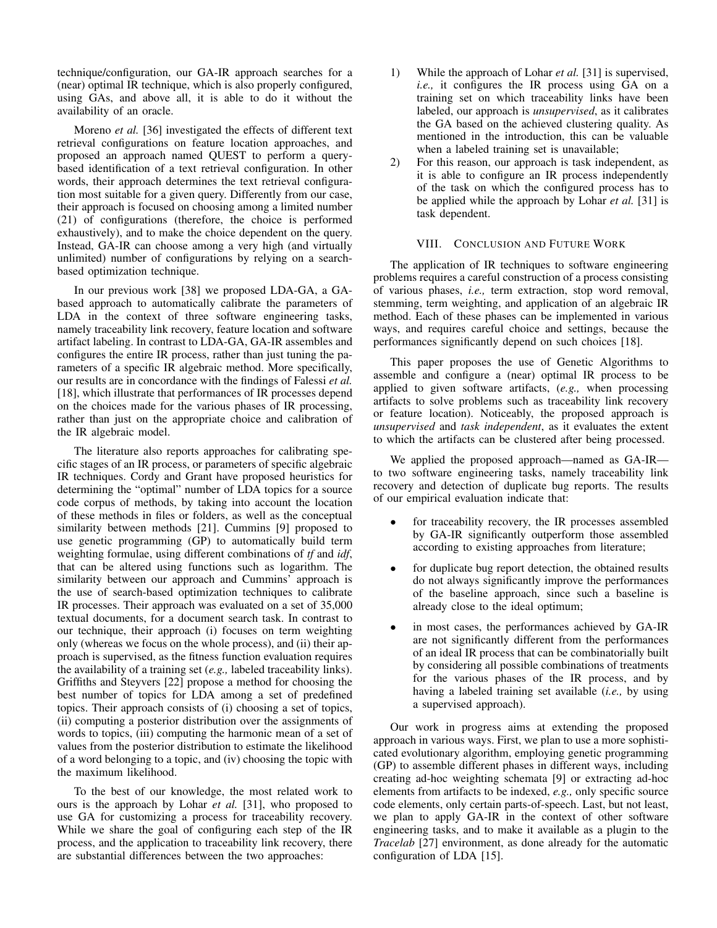technique/configuration, our GA-IR approach searches for a (near) optimal IR technique, which is also properly configured, using GAs, and above all, it is able to do it without the availability of an oracle.

Moreno *et al.* [36] investigated the effects of different text retrieval configurations on feature location approaches, and proposed an approach named QUEST to perform a querybased identification of a text retrieval configuration. In other words, their approach determines the text retrieval configuration most suitable for a given query. Differently from our case, their approach is focused on choosing among a limited number (21) of configurations (therefore, the choice is performed exhaustively), and to make the choice dependent on the query. Instead, GA-IR can choose among a very high (and virtually unlimited) number of configurations by relying on a searchbased optimization technique.

In our previous work [38] we proposed LDA-GA, a GAbased approach to automatically calibrate the parameters of LDA in the context of three software engineering tasks, namely traceability link recovery, feature location and software artifact labeling. In contrast to LDA-GA, GA-IR assembles and configures the entire IR process, rather than just tuning the parameters of a specific IR algebraic method. More specifically, our results are in concordance with the findings of Falessi *et al.* [18], which illustrate that performances of IR processes depend on the choices made for the various phases of IR processing, rather than just on the appropriate choice and calibration of the IR algebraic model.

The literature also reports approaches for calibrating specific stages of an IR process, or parameters of specific algebraic IR techniques. Cordy and Grant have proposed heuristics for determining the "optimal" number of LDA topics for a source code corpus of methods, by taking into account the location of these methods in files or folders, as well as the conceptual similarity between methods [21]. Cummins [9] proposed to use genetic programming (GP) to automatically build term weighting formulae, using different combinations of *tf* and *idf*, that can be altered using functions such as logarithm. The similarity between our approach and Cummins' approach is the use of search-based optimization techniques to calibrate IR processes. Their approach was evaluated on a set of 35,000 textual documents, for a document search task. In contrast to our technique, their approach (i) focuses on term weighting only (whereas we focus on the whole process), and (ii) their approach is supervised, as the fitness function evaluation requires the availability of a training set (*e.g.,* labeled traceability links). Griffiths and Steyvers [22] propose a method for choosing the best number of topics for LDA among a set of predefined topics. Their approach consists of (i) choosing a set of topics, (ii) computing a posterior distribution over the assignments of words to topics, (iii) computing the harmonic mean of a set of values from the posterior distribution to estimate the likelihood of a word belonging to a topic, and (iv) choosing the topic with the maximum likelihood.

To the best of our knowledge, the most related work to ours is the approach by Lohar *et al.* [31], who proposed to use GA for customizing a process for traceability recovery. While we share the goal of configuring each step of the IR process, and the application to traceability link recovery, there are substantial differences between the two approaches:

- 1) While the approach of Lohar *et al.* [31] is supervised, *i.e.,* it configures the IR process using GA on a training set on which traceability links have been labeled, our approach is *unsupervised*, as it calibrates the GA based on the achieved clustering quality. As mentioned in the introduction, this can be valuable when a labeled training set is unavailable;
- 2) For this reason, our approach is task independent, as it is able to configure an IR process independently of the task on which the configured process has to be applied while the approach by Lohar *et al.* [31] is task dependent.

# VIII. CONCLUSION AND FUTURE WORK

The application of IR techniques to software engineering problems requires a careful construction of a process consisting of various phases, *i.e.,* term extraction, stop word removal, stemming, term weighting, and application of an algebraic IR method. Each of these phases can be implemented in various ways, and requires careful choice and settings, because the performances significantly depend on such choices [18].

This paper proposes the use of Genetic Algorithms to assemble and configure a (near) optimal IR process to be applied to given software artifacts, (*e.g.,* when processing artifacts to solve problems such as traceability link recovery or feature location). Noticeably, the proposed approach is *unsupervised* and *task independent*, as it evaluates the extent to which the artifacts can be clustered after being processed.

We applied the proposed approach—named as GA-IR to two software engineering tasks, namely traceability link recovery and detection of duplicate bug reports. The results of our empirical evaluation indicate that:

- for traceability recovery, the IR processes assembled by GA-IR significantly outperform those assembled according to existing approaches from literature;
- for duplicate bug report detection, the obtained results do not always significantly improve the performances of the baseline approach, since such a baseline is already close to the ideal optimum;
- in most cases, the performances achieved by GA-IR are not significantly different from the performances of an ideal IR process that can be combinatorially built by considering all possible combinations of treatments for the various phases of the IR process, and by having a labeled training set available (*i.e.,* by using a supervised approach).

Our work in progress aims at extending the proposed approach in various ways. First, we plan to use a more sophisticated evolutionary algorithm, employing genetic programming (GP) to assemble different phases in different ways, including creating ad-hoc weighting schemata [9] or extracting ad-hoc elements from artifacts to be indexed, *e.g.,* only specific source code elements, only certain parts-of-speech. Last, but not least, we plan to apply GA-IR in the context of other software engineering tasks, and to make it available as a plugin to the *Tracelab* [27] environment, as done already for the automatic configuration of LDA [15].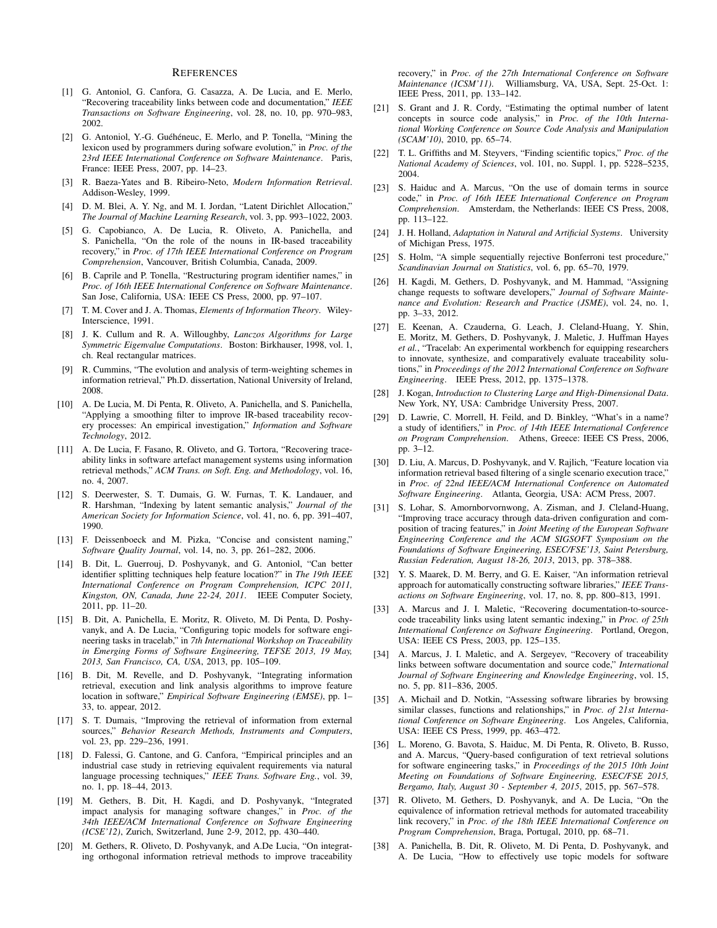#### **REFERENCES**

- [1] G. Antoniol, G. Canfora, G. Casazza, A. De Lucia, and E. Merlo, "Recovering traceability links between code and documentation," *IEEE Transactions on Software Engineering*, vol. 28, no. 10, pp. 970–983, 2002.
- [2] G. Antoniol, Y.-G. Guéhéneuc, E. Merlo, and P. Tonella, "Mining the lexicon used by programmers during sofware evolution," in *Proc. of the 23rd IEEE International Conference on Software Maintenance*. Paris, France: IEEE Press, 2007, pp. 14–23.
- [3] R. Baeza-Yates and B. Ribeiro-Neto, *Modern Information Retrieval*. Addison-Wesley, 1999.
- [4] D. M. Blei, A. Y. Ng, and M. I. Jordan, "Latent Dirichlet Allocation," *The Journal of Machine Learning Research*, vol. 3, pp. 993–1022, 2003.
- [5] G. Capobianco, A. De Lucia, R. Oliveto, A. Panichella, and S. Panichella, "On the role of the nouns in IR-based traceability recovery," in *Proc. of 17th IEEE International Conference on Program Comprehension*, Vancouver, British Columbia, Canada, 2009.
- [6] B. Caprile and P. Tonella, "Restructuring program identifier names," in *Proc. of 16th IEEE International Conference on Software Maintenance*. San Jose, California, USA: IEEE CS Press, 2000, pp. 97–107.
- [7] T. M. Cover and J. A. Thomas, *Elements of Information Theory*. Wiley-Interscience, 1991.
- [8] J. K. Cullum and R. A. Willoughby, *Lanczos Algorithms for Large Symmetric Eigenvalue Computations*. Boston: Birkhauser, 1998, vol. 1, ch. Real rectangular matrices.
- [9] R. Cummins, "The evolution and analysis of term-weighting schemes in information retrieval," Ph.D. dissertation, National University of Ireland, 2008.
- [10] A. De Lucia, M. Di Penta, R. Oliveto, A. Panichella, and S. Panichella, "Applying a smoothing filter to improve IR-based traceability recovery processes: An empirical investigation," *Information and Software Technology*, 2012.
- [11] A. De Lucia, F. Fasano, R. Oliveto, and G. Tortora, "Recovering traceability links in software artefact management systems using information retrieval methods," *ACM Trans. on Soft. Eng. and Methodology*, vol. 16, no. 4, 2007.
- [12] S. Deerwester, S. T. Dumais, G. W. Furnas, T. K. Landauer, and R. Harshman, "Indexing by latent semantic analysis," *Journal of the American Society for Information Science*, vol. 41, no. 6, pp. 391–407, 1990.
- [13] F. Deissenboeck and M. Pizka, "Concise and consistent naming," *Software Quality Journal*, vol. 14, no. 3, pp. 261–282, 2006.
- [14] B. Dit, L. Guerrouj, D. Poshyvanyk, and G. Antoniol, "Can better identifier splitting techniques help feature location?" in *The 19th IEEE International Conference on Program Comprehension, ICPC 2011, Kingston, ON, Canada, June 22-24, 2011*. IEEE Computer Society, 2011, pp. 11–20.
- [15] B. Dit, A. Panichella, E. Moritz, R. Oliveto, M. Di Penta, D. Poshyvanyk, and A. De Lucia, "Configuring topic models for software engineering tasks in tracelab," in *7th International Workshop on Traceability in Emerging Forms of Software Engineering, TEFSE 2013, 19 May, 2013, San Francisco, CA, USA*, 2013, pp. 105–109.
- [16] B. Dit, M. Revelle, and D. Poshyvanyk, "Integrating information retrieval, execution and link analysis algorithms to improve feature location in software," *Empirical Software Engineering (EMSE)*, pp. 1– 33, to. appear, 2012.
- [17] S. T. Dumais, "Improving the retrieval of information from external sources," *Behavior Research Methods, Instruments and Computers*, vol. 23, pp. 229–236, 1991.
- [18] D. Falessi, G. Cantone, and G. Canfora, "Empirical principles and an industrial case study in retrieving equivalent requirements via natural language processing techniques," *IEEE Trans. Software Eng.*, vol. 39, no. 1, pp. 18–44, 2013.
- [19] M. Gethers, B. Dit, H. Kagdi, and D. Poshyvanyk, "Integrated impact analysis for managing software changes," in *Proc. of the 34th IEEE/ACM International Conference on Software Engineering (ICSE'12)*, Zurich, Switzerland, June 2-9, 2012, pp. 430–440.
- [20] M. Gethers, R. Oliveto, D. Poshyvanyk, and A.De Lucia, "On integrating orthogonal information retrieval methods to improve traceability

recovery," in *Proc. of the 27th International Conference on Software Maintenance (ICSM'11)*. Williamsburg, VA, USA, Sept. 25-Oct. 1: IEEE Press, 2011, pp. 133–142.

- [21] S. Grant and J. R. Cordy, "Estimating the optimal number of latent concepts in source code analysis," in *Proc. of the 10th International Working Conference on Source Code Analysis and Manipulation (SCAM'10)*, 2010, pp. 65–74.
- [22] T. L. Griffiths and M. Steyvers, "Finding scientific topics," *Proc. of the National Academy of Sciences*, vol. 101, no. Suppl. 1, pp. 5228–5235, 2004.
- [23] S. Haiduc and A. Marcus, "On the use of domain terms in source code," in *Proc. of 16th IEEE International Conference on Program Comprehension*. Amsterdam, the Netherlands: IEEE CS Press, 2008, pp. 113–122.
- [24] J. H. Holland, *Adaptation in Natural and Artificial Systems*. University of Michigan Press, 1975.
- [25] S. Holm, "A simple sequentially rejective Bonferroni test procedure," *Scandinavian Journal on Statistics*, vol. 6, pp. 65–70, 1979.
- [26] H. Kagdi, M. Gethers, D. Poshyvanyk, and M. Hammad, "Assigning change requests to software developers," *Journal of Software Maintenance and Evolution: Research and Practice (JSME)*, vol. 24, no. 1, pp. 3–33, 2012.
- [27] E. Keenan, A. Czauderna, G. Leach, J. Cleland-Huang, Y. Shin, E. Moritz, M. Gethers, D. Poshyvanyk, J. Maletic, J. Huffman Hayes *et al.*, "Tracelab: An experimental workbench for equipping researchers to innovate, synthesize, and comparatively evaluate traceability solutions," in *Proceedings of the 2012 International Conference on Software Engineering*. IEEE Press, 2012, pp. 1375–1378.
- [28] J. Kogan, *Introduction to Clustering Large and High-Dimensional Data*. New York, NY, USA: Cambridge University Press, 2007.
- [29] D. Lawrie, C. Morrell, H. Feild, and D. Binkley, "What's in a name? a study of identifiers," in *Proc. of 14th IEEE International Conference on Program Comprehension*. Athens, Greece: IEEE CS Press, 2006, pp. 3–12.
- [30] D. Liu, A. Marcus, D. Poshyvanyk, and V. Rajlich, "Feature location via information retrieval based filtering of a single scenario execution trace," in *Proc. of 22nd IEEE/ACM International Conference on Automated Software Engineering*. Atlanta, Georgia, USA: ACM Press, 2007.
- [31] S. Lohar, S. Amornborvornwong, A. Zisman, and J. Cleland-Huang, "Improving trace accuracy through data-driven configuration and composition of tracing features," in *Joint Meeting of the European Software Engineering Conference and the ACM SIGSOFT Symposium on the Foundations of Software Engineering, ESEC/FSE'13, Saint Petersburg, Russian Federation, August 18-26, 2013*, 2013, pp. 378–388.
- [32] Y. S. Maarek, D. M. Berry, and G. E. Kaiser, "An information retrieval approach for automatically constructing software libraries," *IEEE Transactions on Software Engineering*, vol. 17, no. 8, pp. 800–813, 1991.
- [33] A. Marcus and J. I. Maletic, "Recovering documentation-to-sourcecode traceability links using latent semantic indexing," in *Proc. of 25th International Conference on Software Engineering*. Portland, Oregon, USA: IEEE CS Press, 2003, pp. 125–135.
- [34] A. Marcus, J. I. Maletic, and A. Sergeyev, "Recovery of traceability links between software documentation and source code," *International Journal of Software Engineering and Knowledge Engineering*, vol. 15, no. 5, pp. 811–836, 2005.
- [35] A. Michail and D. Notkin, "Assessing software libraries by browsing similar classes, functions and relationships," in *Proc. of 21st International Conference on Software Engineering*. Los Angeles, California, USA: IEEE CS Press, 1999, pp. 463–472.
- [36] L. Moreno, G. Bavota, S. Haiduc, M. Di Penta, R. Oliveto, B. Russo, and A. Marcus, "Query-based configuration of text retrieval solutions for software engineering tasks," in *Proceedings of the 2015 10th Joint Meeting on Foundations of Software Engineering, ESEC/FSE 2015, Bergamo, Italy, August 30 - September 4, 2015*, 2015, pp. 567–578.
- [37] R. Oliveto, M. Gethers, D. Poshyvanyk, and A. De Lucia, "On the equivalence of information retrieval methods for automated traceability link recovery," in *Proc. of the 18th IEEE International Conference on Program Comprehension*, Braga, Portugal, 2010, pp. 68–71.
- [38] A. Panichella, B. Dit, R. Oliveto, M. Di Penta, D. Poshyvanyk, and A. De Lucia, "How to effectively use topic models for software